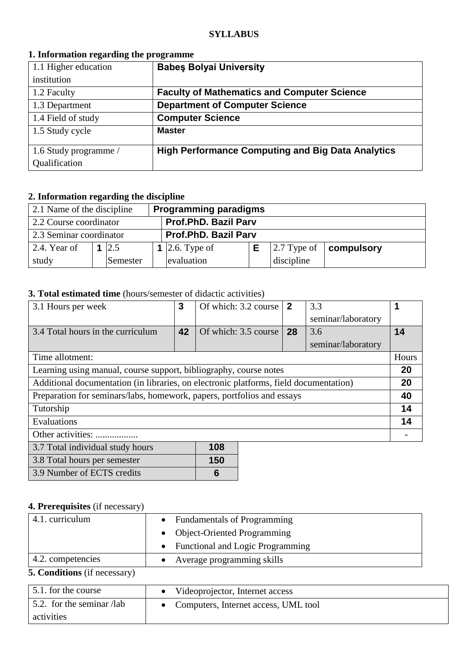#### **SYLLABUS**

### **1. Information regarding the programme**

| 1.1 Higher education  | <b>Babes Bolyai University</b>                           |
|-----------------------|----------------------------------------------------------|
| institution           |                                                          |
| 1.2 Faculty           | <b>Faculty of Mathematics and Computer Science</b>       |
| 1.3 Department        | <b>Department of Computer Science</b>                    |
| 1.4 Field of study    | <b>Computer Science</b>                                  |
| 1.5 Study cycle       | <b>Master</b>                                            |
| 1.6 Study programme / | <b>High Performance Computing and Big Data Analytics</b> |
| Qualification         |                                                          |

# **2. Information regarding the discipline**

| 2.1 Name of the discipline |          | <b>Programming paradigms</b> |                             |  |            |                                        |
|----------------------------|----------|------------------------------|-----------------------------|--|------------|----------------------------------------|
| 2.2 Course coordinator     |          | <b>Prof.PhD. Bazil Parv</b>  |                             |  |            |                                        |
| 2.3 Seminar coordinator    |          |                              | <b>Prof.PhD. Bazil Parv</b> |  |            |                                        |
| 2.4. Year of               | 2.5      |                              | 1 2.6. Type of              |  |            | $\vert$ 2.7 Type of $\vert$ compulsory |
| study                      | Semester |                              | evaluation                  |  | discipline |                                        |

# **3. Total estimated time** (hours/semester of didactic activities)

| 3.1 Hours per week                                                                    | 3  | Of which: 3.2 course | $\overline{2}$ | 3.3                |       |
|---------------------------------------------------------------------------------------|----|----------------------|----------------|--------------------|-------|
|                                                                                       |    |                      |                | seminar/laboratory |       |
| 3.4 Total hours in the curriculum                                                     | 42 | Of which: 3.5 course | 28             | 3.6                | 14    |
|                                                                                       |    |                      |                | seminar/laboratory |       |
| Time allotment:                                                                       |    |                      |                |                    | Hours |
| Learning using manual, course support, bibliography, course notes                     |    |                      |                |                    | 20    |
| Additional documentation (in libraries, on electronic platforms, field documentation) |    |                      |                |                    |       |
| Preparation for seminars/labs, homework, papers, portfolios and essays                |    |                      |                |                    |       |
| Tutorship                                                                             |    |                      |                |                    | 14    |
| Evaluations                                                                           |    |                      |                |                    | 14    |
| Other activities:                                                                     |    |                      |                |                    |       |
| 3.7 Total individual study hours                                                      |    | 108                  |                |                    |       |
|                                                                                       |    |                      |                |                    |       |

| 3.8 Total hours per semester | 150 |
|------------------------------|-----|
| 3.9 Number of ECTS credits   |     |

# **4. Prerequisites** (if necessary)

| 4.1. curriculum                     | • Fundamentals of Programming      |  |  |
|-------------------------------------|------------------------------------|--|--|
|                                     | • Object-Oriented Programming      |  |  |
|                                     | • Functional and Logic Programming |  |  |
| 4.2. competencies                   | Average programming skills         |  |  |
| <b>5. Conditions</b> (if necessary) |                                    |  |  |

| 5.1. for the course                  | Videoprojector, Internet access      |  |  |
|--------------------------------------|--------------------------------------|--|--|
| $\frac{1}{2}$ . for the seminar /lab | Computers, Internet access, UML tool |  |  |
| activities                           |                                      |  |  |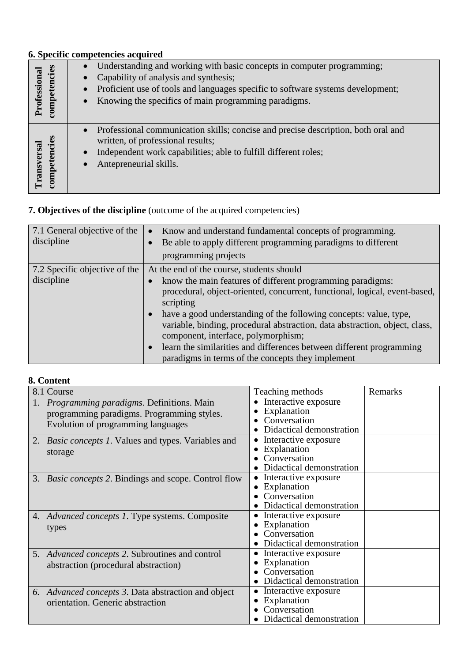## **6. Specific competencies acquired**

| ncies<br>Professional<br>Ea<br>compet | Understanding and working with basic concepts in computer programming;<br>Capability of analysis and synthesis;<br>Proficient use of tools and languages specific to software systems development;<br>$\bullet$<br>Knowing the specifics of main programming paradigms.<br>$\bullet$ |
|---------------------------------------|--------------------------------------------------------------------------------------------------------------------------------------------------------------------------------------------------------------------------------------------------------------------------------------|
| competencies<br>Transversal           | Professional communication skills; concise and precise description, both oral and<br>$\bullet$<br>written, of professional results;<br>Independent work capabilities; able to fulfill different roles;<br>Antepreneurial skills.<br>$\bullet$                                        |

# **7. Objectives of the discipline** (outcome of the acquired competencies)

| 7.1 General objective of the<br>discipline | Know and understand fundamental concepts of programming.<br>$\bullet$<br>Be able to apply different programming paradigms to different<br>programming projects                                                                                                                                                                                                                                                                                                                                          |
|--------------------------------------------|---------------------------------------------------------------------------------------------------------------------------------------------------------------------------------------------------------------------------------------------------------------------------------------------------------------------------------------------------------------------------------------------------------------------------------------------------------------------------------------------------------|
| 7.2 Specific objective of the              | At the end of the course, students should                                                                                                                                                                                                                                                                                                                                                                                                                                                               |
| discipline                                 | know the main features of different programming paradigms:<br>procedural, object-oriented, concurrent, functional, logical, event-based,<br>scripting<br>have a good understanding of the following concepts: value, type,<br>$\bullet$<br>variable, binding, procedural abstraction, data abstraction, object, class,<br>component, interface, polymorphism;<br>learn the similarities and differences between different programming<br>$\bullet$<br>paradigms in terms of the concepts they implement |

### **8. Content**

| 8.1 Course                                                                                                                   | Teaching methods                                                                             | Remarks |
|------------------------------------------------------------------------------------------------------------------------------|----------------------------------------------------------------------------------------------|---------|
| Programming paradigms. Definitions. Main<br>programming paradigms. Programming styles.<br>Evolution of programming languages | Interactive exposure<br>Explanation<br>Conversation<br>Didactical demonstration              |         |
| 2. <i>Basic concepts 1</i> . Values and types. Variables and<br>storage                                                      | Interactive exposure<br>$\bullet$<br>Explanation<br>Conversation<br>Didactical demonstration |         |
| 3. <i>Basic concepts</i> 2. Bindings and scope. Control flow                                                                 | Interactive exposure<br>Explanation<br>Conversation<br>Didactical demonstration              |         |
| 4. Advanced concepts 1. Type systems. Composite<br>types                                                                     | Interactive exposure<br>Explanation<br>Conversation<br>Didactical demonstration              |         |
| 5. Advanced concepts 2. Subroutines and control<br>abstraction (procedural abstraction)                                      | Interactive exposure<br>Explanation<br>Conversation<br>Didactical demonstration              |         |
| 6. Advanced concepts 3. Data abstraction and object<br>orientation. Generic abstraction                                      | Interactive exposure<br>Explanation<br>Conversation<br>Didactical demonstration              |         |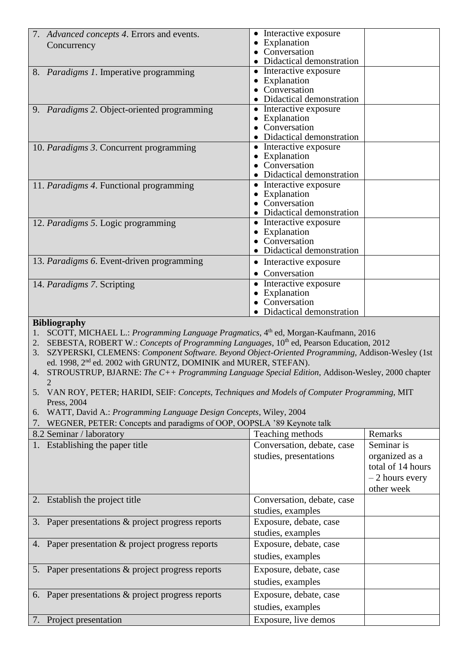| 7. Advanced concepts 4. Errors and events.                                                                                                                                                                                                                                                                                                                                                                                                                                                                                                                                                                                                                                                      | • Interactive exposure                    |                   |
|-------------------------------------------------------------------------------------------------------------------------------------------------------------------------------------------------------------------------------------------------------------------------------------------------------------------------------------------------------------------------------------------------------------------------------------------------------------------------------------------------------------------------------------------------------------------------------------------------------------------------------------------------------------------------------------------------|-------------------------------------------|-------------------|
| Concurrency                                                                                                                                                                                                                                                                                                                                                                                                                                                                                                                                                                                                                                                                                     | • Explanation                             |                   |
|                                                                                                                                                                                                                                                                                                                                                                                                                                                                                                                                                                                                                                                                                                 | Conversation<br>Didactical demonstration  |                   |
|                                                                                                                                                                                                                                                                                                                                                                                                                                                                                                                                                                                                                                                                                                 | • Interactive exposure                    |                   |
| 8. Paradigms 1. Imperative programming                                                                                                                                                                                                                                                                                                                                                                                                                                                                                                                                                                                                                                                          | • Explanation                             |                   |
|                                                                                                                                                                                                                                                                                                                                                                                                                                                                                                                                                                                                                                                                                                 | Conversation                              |                   |
|                                                                                                                                                                                                                                                                                                                                                                                                                                                                                                                                                                                                                                                                                                 | Didactical demonstration                  |                   |
| 9. Paradigms 2. Object-oriented programming                                                                                                                                                                                                                                                                                                                                                                                                                                                                                                                                                                                                                                                     | • Interactive exposure                    |                   |
|                                                                                                                                                                                                                                                                                                                                                                                                                                                                                                                                                                                                                                                                                                 | • Explanation                             |                   |
|                                                                                                                                                                                                                                                                                                                                                                                                                                                                                                                                                                                                                                                                                                 | • Conversation                            |                   |
|                                                                                                                                                                                                                                                                                                                                                                                                                                                                                                                                                                                                                                                                                                 | Didactical demonstration                  |                   |
| 10. Paradigms 3. Concurrent programming                                                                                                                                                                                                                                                                                                                                                                                                                                                                                                                                                                                                                                                         | • Interactive exposure                    |                   |
|                                                                                                                                                                                                                                                                                                                                                                                                                                                                                                                                                                                                                                                                                                 | • Explanation<br>• Conversation           |                   |
|                                                                                                                                                                                                                                                                                                                                                                                                                                                                                                                                                                                                                                                                                                 | Didactical demonstration                  |                   |
| 11. Paradigms 4. Functional programming                                                                                                                                                                                                                                                                                                                                                                                                                                                                                                                                                                                                                                                         | • Interactive exposure                    |                   |
|                                                                                                                                                                                                                                                                                                                                                                                                                                                                                                                                                                                                                                                                                                 | • Explanation                             |                   |
|                                                                                                                                                                                                                                                                                                                                                                                                                                                                                                                                                                                                                                                                                                 | • Conversation                            |                   |
|                                                                                                                                                                                                                                                                                                                                                                                                                                                                                                                                                                                                                                                                                                 | Didactical demonstration                  |                   |
| 12. Paradigms 5. Logic programming                                                                                                                                                                                                                                                                                                                                                                                                                                                                                                                                                                                                                                                              | • Interactive exposure                    |                   |
|                                                                                                                                                                                                                                                                                                                                                                                                                                                                                                                                                                                                                                                                                                 | • Explanation                             |                   |
|                                                                                                                                                                                                                                                                                                                                                                                                                                                                                                                                                                                                                                                                                                 | Conversation                              |                   |
|                                                                                                                                                                                                                                                                                                                                                                                                                                                                                                                                                                                                                                                                                                 | Didactical demonstration                  |                   |
| 13. Paradigms 6. Event-driven programming                                                                                                                                                                                                                                                                                                                                                                                                                                                                                                                                                                                                                                                       | • Interactive exposure                    |                   |
|                                                                                                                                                                                                                                                                                                                                                                                                                                                                                                                                                                                                                                                                                                 | Conversation                              |                   |
| 14. Paradigms 7. Scripting                                                                                                                                                                                                                                                                                                                                                                                                                                                                                                                                                                                                                                                                      | • Interactive exposure                    |                   |
|                                                                                                                                                                                                                                                                                                                                                                                                                                                                                                                                                                                                                                                                                                 | • Explanation<br>Conversation             |                   |
|                                                                                                                                                                                                                                                                                                                                                                                                                                                                                                                                                                                                                                                                                                 | Didactical demonstration                  |                   |
| <b>Bibliography</b>                                                                                                                                                                                                                                                                                                                                                                                                                                                                                                                                                                                                                                                                             |                                           |                   |
|                                                                                                                                                                                                                                                                                                                                                                                                                                                                                                                                                                                                                                                                                                 |                                           |                   |
| SCOTT, MICHAEL L.: Programming Language Pragmatics, 4 <sup>th</sup> ed, Morgan-Kaufmann, 2016<br>1.<br>SEBESTA, ROBERT W.: Concepts of Programming Languages, 10th ed, Pearson Education, 2012<br>2.<br>SZYPERSKI, CLEMENS: Component Software. Beyond Object-Oriented Programming, Addison-Wesley (1st<br>3.<br>ed. 1998, 2 <sup>nd</sup> ed. 2002 with GRUNTZ, DOMINIK and MURER, STEFAN).<br>4. STROUSTRUP, BJARNE: The C++ Programming Language Special Edition, Addison-Wesley, 2000 chapter<br>VAN ROY, PETER; HARIDI, SEIF: Concepts, Techniques and Models of Computer Programming, MIT<br>5.<br>Press, 2004<br>WATT, David A.: Programming Language Design Concepts, Wiley, 2004<br>6. |                                           |                   |
| WEGNER, PETER: Concepts and paradigms of OOP, OOPSLA '89 Keynote talk<br>7.                                                                                                                                                                                                                                                                                                                                                                                                                                                                                                                                                                                                                     |                                           |                   |
| 8.2 Seminar / laboratory                                                                                                                                                                                                                                                                                                                                                                                                                                                                                                                                                                                                                                                                        | Teaching methods                          | Remarks           |
| 1. Establishing the paper title                                                                                                                                                                                                                                                                                                                                                                                                                                                                                                                                                                                                                                                                 | Conversation, debate, case                | Seminar is        |
|                                                                                                                                                                                                                                                                                                                                                                                                                                                                                                                                                                                                                                                                                                 | studies, presentations                    | organized as a    |
|                                                                                                                                                                                                                                                                                                                                                                                                                                                                                                                                                                                                                                                                                                 |                                           | total of 14 hours |
|                                                                                                                                                                                                                                                                                                                                                                                                                                                                                                                                                                                                                                                                                                 |                                           | $-2$ hours every  |
|                                                                                                                                                                                                                                                                                                                                                                                                                                                                                                                                                                                                                                                                                                 |                                           | other week        |
| 2. Establish the project title                                                                                                                                                                                                                                                                                                                                                                                                                                                                                                                                                                                                                                                                  | Conversation, debate, case                |                   |
|                                                                                                                                                                                                                                                                                                                                                                                                                                                                                                                                                                                                                                                                                                 | studies, examples                         |                   |
| 3. Paper presentations & project progress reports                                                                                                                                                                                                                                                                                                                                                                                                                                                                                                                                                                                                                                               | Exposure, debate, case                    |                   |
|                                                                                                                                                                                                                                                                                                                                                                                                                                                                                                                                                                                                                                                                                                 | studies, examples                         |                   |
|                                                                                                                                                                                                                                                                                                                                                                                                                                                                                                                                                                                                                                                                                                 |                                           |                   |
| 4. Paper presentation & project progress reports                                                                                                                                                                                                                                                                                                                                                                                                                                                                                                                                                                                                                                                | Exposure, debate, case                    |                   |
|                                                                                                                                                                                                                                                                                                                                                                                                                                                                                                                                                                                                                                                                                                 | studies, examples                         |                   |
| 5. Paper presentations & project progress reports                                                                                                                                                                                                                                                                                                                                                                                                                                                                                                                                                                                                                                               | Exposure, debate, case                    |                   |
|                                                                                                                                                                                                                                                                                                                                                                                                                                                                                                                                                                                                                                                                                                 | studies, examples                         |                   |
| 6. Paper presentations & project progress reports                                                                                                                                                                                                                                                                                                                                                                                                                                                                                                                                                                                                                                               | Exposure, debate, case                    |                   |
|                                                                                                                                                                                                                                                                                                                                                                                                                                                                                                                                                                                                                                                                                                 |                                           |                   |
| Project presentation<br>7.                                                                                                                                                                                                                                                                                                                                                                                                                                                                                                                                                                                                                                                                      | studies, examples<br>Exposure, live demos |                   |